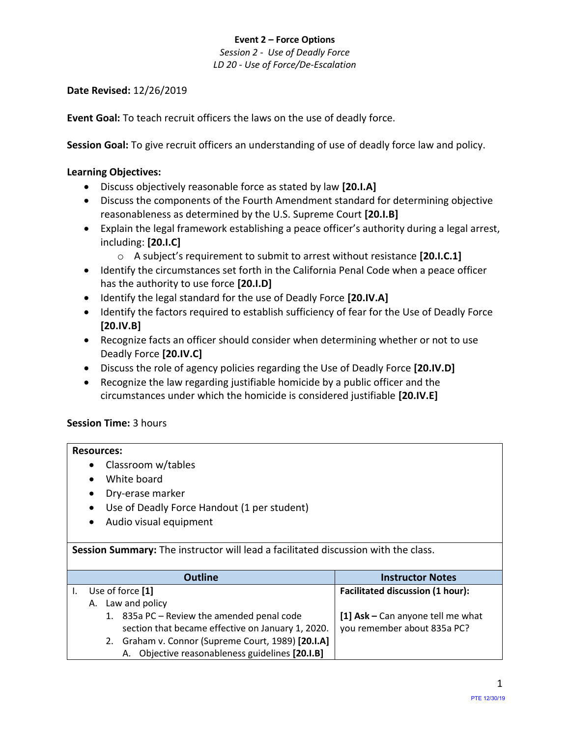*Session 2 - Use of Deadly Force LD 20 - Use of Force/De-Escalation*

## **Date Revised:** 12/26/2019

**Event Goal:** To teach recruit officers the laws on the use of deadly force.

**Session Goal:** To give recruit officers an understanding of use of deadly force law and policy.

## <span id="page-0-3"></span>**Learning Objectives:**

- [Discuss objectively reasonable force as stated by law](#page-0-0) **[20.I.A]**
- [Discuss the components of the Fourth Amendment standard for determining objective](#page-0-1)  [reasonableness as determined by the U.S. Supreme Court](#page-0-1) **[20.I.B]**
- Explain [the legal framework establishing a peace officer's authority during a legal arrest,](#page-0-2)  [including:](#page-0-2) **[20.I.C]**
	- o A subject's requirement to submit to arrest without resistance **[20.I.C.1]**
- Identify the circumstances set forth in the California Penal Code when a peace officer has the authority to use force **[20.I.D]**
- Identify the legal standard for the use of Deadly Force **[20.IV.A]**
- Identify the factors required to establish sufficiency of fear for the Use of Deadly Force **[20.IV.B]**
- Recognize facts an officer should consider when determining whether or not to use Deadly Force **[20.IV.C]**
- Discuss the role of agency policies regarding the Use of Deadly Force **[20.IV.D]**
- Recognize the law regarding justifiable homicide by a public officer and the circumstances under which the homicide is considered justifiable **[20.IV.E]**

# **Session Time:** 3 hours

## **Resources:**

- Classroom w/tables
- White board
- Dry-erase marker
- Use of Deadly Force Handout (1 per student)
- Audio visual equipment

**Session Summary:** The instructor will lead a facilitated discussion with the class.

<span id="page-0-2"></span><span id="page-0-1"></span><span id="page-0-0"></span>

|    | <b>Outline</b>                                     | <b>Instructor Notes</b>                 |
|----|----------------------------------------------------|-----------------------------------------|
|    | Use of force [1]                                   | <b>Facilitated discussion (1 hour):</b> |
| А. | Law and policy                                     |                                         |
|    | 1. 835a PC - Review the amended penal code         | [1] $Ask - Can$ anyone tell me what     |
|    | section that became effective on January 1, 2020.  | you remember about 835a PC?             |
|    | 2. Graham v. Connor (Supreme Court, 1989) [20.I.A] |                                         |
|    | A. Objective reasonableness guidelines [20.I.B]    |                                         |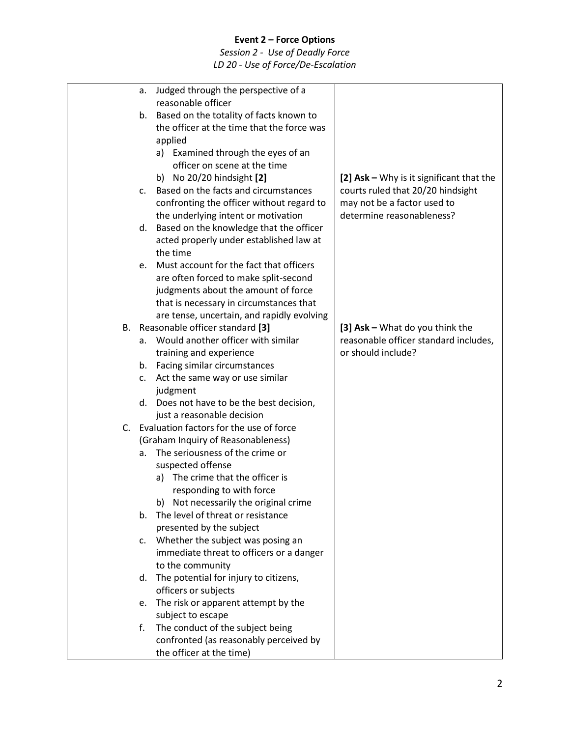|    | Judged through the perspective of a<br>а.                                        |                                          |
|----|----------------------------------------------------------------------------------|------------------------------------------|
|    | reasonable officer                                                               |                                          |
|    | Based on the totality of facts known to<br>b.                                    |                                          |
|    | the officer at the time that the force was                                       |                                          |
|    | applied                                                                          |                                          |
|    | a) Examined through the eyes of an                                               |                                          |
|    | officer on scene at the time                                                     |                                          |
|    | b) No 20/20 hindsight [2]                                                        | [2] Ask - Why is it significant that the |
|    | Based on the facts and circumstances<br>$\mathsf{C}$ .                           | courts ruled that 20/20 hindsight        |
|    | confronting the officer without regard to                                        | may not be a factor used to              |
|    | the underlying intent or motivation                                              | determine reasonableness?                |
|    | Based on the knowledge that the officer<br>d.                                    |                                          |
|    | acted properly under established law at                                          |                                          |
|    | the time                                                                         |                                          |
|    | Must account for the fact that officers<br>e.                                    |                                          |
|    | are often forced to make split-second                                            |                                          |
|    | judgments about the amount of force                                              |                                          |
|    | that is necessary in circumstances that                                          |                                          |
|    | are tense, uncertain, and rapidly evolving                                       |                                          |
| В. | Reasonable officer standard [3]                                                  | [3] Ask - What do you think the          |
|    | Would another officer with similar<br>a.                                         | reasonable officer standard includes,    |
|    | training and experience                                                          | or should include?                       |
|    | Facing similar circumstances<br>b.                                               |                                          |
|    | Act the same way or use similar<br>c.                                            |                                          |
|    | judgment                                                                         |                                          |
|    | d. Does not have to be the best decision,                                        |                                          |
|    | just a reasonable decision                                                       |                                          |
| C. | Evaluation factors for the use of force                                          |                                          |
|    | (Graham Inquiry of Reasonableness)                                               |                                          |
|    | The seriousness of the crime or<br>a.                                            |                                          |
|    | suspected offense                                                                |                                          |
|    | The crime that the officer is<br>a)                                              |                                          |
|    | responding to with force                                                         |                                          |
|    | b) Not necessarily the original crime<br>The level of threat or resistance<br>b. |                                          |
|    | presented by the subject                                                         |                                          |
|    | Whether the subject was posing an<br>c.                                          |                                          |
|    | immediate threat to officers or a danger                                         |                                          |
|    | to the community                                                                 |                                          |
|    | The potential for injury to citizens,<br>d.                                      |                                          |
|    | officers or subjects                                                             |                                          |
|    | The risk or apparent attempt by the<br>e.                                        |                                          |
|    | subject to escape                                                                |                                          |
|    | The conduct of the subject being<br>f.                                           |                                          |
|    | confronted (as reasonably perceived by                                           |                                          |
|    | the officer at the time)                                                         |                                          |
|    |                                                                                  |                                          |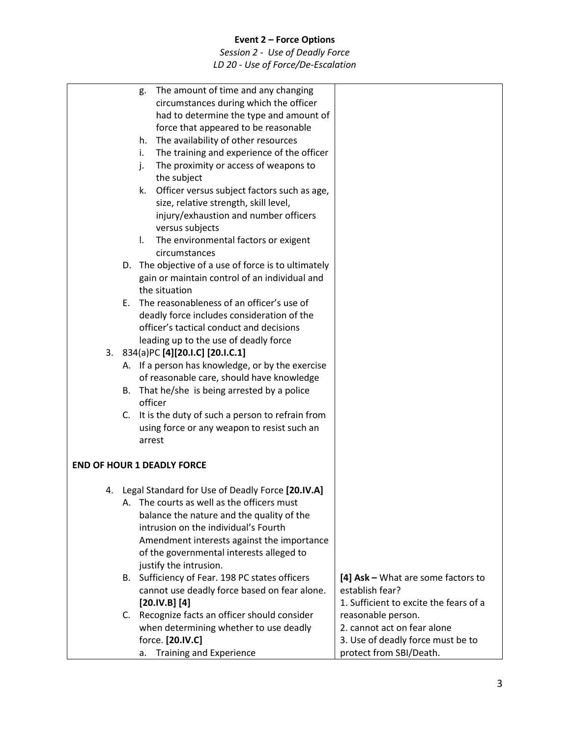|                                             |                                              | g.                                               | The amount of time and any changing                            |                                        |
|---------------------------------------------|----------------------------------------------|--------------------------------------------------|----------------------------------------------------------------|----------------------------------------|
|                                             |                                              |                                                  | circumstances during which the officer                         |                                        |
|                                             |                                              |                                                  | had to determine the type and amount of                        |                                        |
|                                             |                                              |                                                  | force that appeared to be reasonable                           |                                        |
|                                             |                                              | h.                                               | The availability of other resources                            |                                        |
|                                             |                                              | i.                                               | The training and experience of the officer                     |                                        |
|                                             |                                              | j.                                               | The proximity or access of weapons to                          |                                        |
|                                             |                                              |                                                  | the subject                                                    |                                        |
|                                             |                                              | k.                                               | Officer versus subject factors such as age,                    |                                        |
|                                             |                                              |                                                  | size, relative strength, skill level,                          |                                        |
|                                             |                                              |                                                  | injury/exhaustion and number officers                          |                                        |
|                                             |                                              |                                                  | versus subjects                                                |                                        |
|                                             |                                              | I.                                               | The environmental factors or exigent                           |                                        |
|                                             |                                              |                                                  | circumstances                                                  |                                        |
|                                             |                                              |                                                  | D. The objective of a use of force is to ultimately            |                                        |
|                                             |                                              |                                                  | gain or maintain control of an individual and<br>the situation |                                        |
|                                             |                                              | E.                                               | The reasonableness of an officer's use of                      |                                        |
|                                             |                                              |                                                  | deadly force includes consideration of the                     |                                        |
|                                             |                                              |                                                  | officer's tactical conduct and decisions                       |                                        |
|                                             |                                              |                                                  | leading up to the use of deadly force                          |                                        |
|                                             | 3.                                           |                                                  | 834(a)PC [4][20.I.C] [20.I.C.1]                                |                                        |
|                                             |                                              | A. If a person has knowledge, or by the exercise |                                                                |                                        |
|                                             | of reasonable care, should have knowledge    |                                                  |                                                                |                                        |
|                                             | B. That he/she is being arrested by a police |                                                  |                                                                |                                        |
|                                             |                                              |                                                  | officer                                                        |                                        |
|                                             |                                              |                                                  | C. It is the duty of such a person to refrain from             |                                        |
| using force or any weapon to resist such an |                                              |                                                  |                                                                |                                        |
|                                             |                                              |                                                  | arrest                                                         |                                        |
|                                             |                                              |                                                  |                                                                |                                        |
|                                             |                                              |                                                  | <b>END OF HOUR 1 DEADLY FORCE</b>                              |                                        |
|                                             | 4.                                           |                                                  | Legal Standard for Use of Deadly Force [20.IV.A]               |                                        |
|                                             |                                              |                                                  | A. The courts as well as the officers must                     |                                        |
|                                             |                                              |                                                  | balance the nature and the quality of the                      |                                        |
|                                             |                                              |                                                  | intrusion on the individual's Fourth                           |                                        |
|                                             |                                              |                                                  | Amendment interests against the importance                     |                                        |
|                                             |                                              |                                                  | of the governmental interests alleged to                       |                                        |
|                                             |                                              |                                                  | justify the intrusion.                                         |                                        |
|                                             |                                              |                                                  | B. Sufficiency of Fear. 198 PC states officers                 | [4] Ask - What are some factors to     |
|                                             |                                              |                                                  | cannot use deadly force based on fear alone.                   | establish fear?                        |
|                                             |                                              |                                                  | [20.1V.B] [4]                                                  | 1. Sufficient to excite the fears of a |
|                                             |                                              |                                                  | C. Recognize facts an officer should consider                  | reasonable person.                     |
|                                             |                                              |                                                  | when determining whether to use deadly                         | 2. cannot act on fear alone            |
|                                             |                                              |                                                  | force. [20.IV.C]                                               | 3. Use of deadly force must be to      |
|                                             |                                              |                                                  | <b>Training and Experience</b><br>а.                           | protect from SBI/Death.                |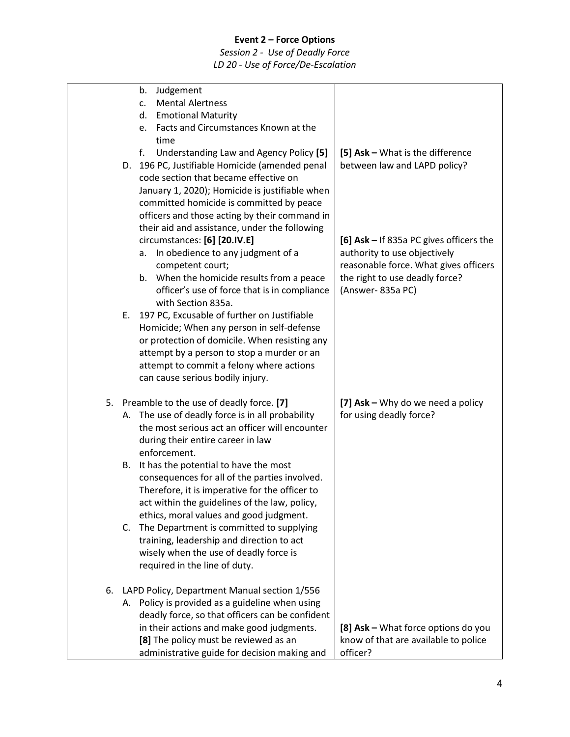|    |    | Judgement<br>b.                                                                                 |                                         |
|----|----|-------------------------------------------------------------------------------------------------|-----------------------------------------|
|    |    | <b>Mental Alertness</b><br>$C_{\star}$                                                          |                                         |
|    |    | <b>Emotional Maturity</b><br>d.                                                                 |                                         |
|    |    | Facts and Circumstances Known at the<br>e.<br>time                                              |                                         |
|    |    | f.<br>Understanding Law and Agency Policy [5]                                                   | [5] Ask - What is the difference        |
|    |    | D. 196 PC, Justifiable Homicide (amended penal                                                  | between law and LAPD policy?            |
|    |    | code section that became effective on                                                           |                                         |
|    |    | January 1, 2020); Homicide is justifiable when                                                  |                                         |
|    |    | committed homicide is committed by peace                                                        |                                         |
|    |    | officers and those acting by their command in                                                   |                                         |
|    |    | their aid and assistance, under the following                                                   |                                         |
|    |    | circumstances: [6] [20.IV.E]                                                                    | [6] Ask - If 835a PC gives officers the |
|    |    | In obedience to any judgment of a<br>а.                                                         | authority to use objectively            |
|    |    | competent court;                                                                                | reasonable force. What gives officers   |
|    |    | b. When the homicide results from a peace                                                       | the right to use deadly force?          |
|    |    | officer's use of force that is in compliance<br>with Section 835a.                              | (Answer-835a PC)                        |
|    |    | E. 197 PC, Excusable of further on Justifiable                                                  |                                         |
|    |    | Homicide; When any person in self-defense                                                       |                                         |
|    |    | or protection of domicile. When resisting any                                                   |                                         |
|    |    | attempt by a person to stop a murder or an                                                      |                                         |
|    |    | attempt to commit a felony where actions                                                        |                                         |
|    |    | can cause serious bodily injury.                                                                |                                         |
| 5. |    | Preamble to the use of deadly force. [7]                                                        | [7] Ask - Why do we need a policy       |
|    |    | A. The use of deadly force is in all probability                                                | for using deadly force?                 |
|    |    | the most serious act an officer will encounter                                                  |                                         |
|    |    | during their entire career in law                                                               |                                         |
|    |    | enforcement.                                                                                    |                                         |
|    | В. | It has the potential to have the most                                                           |                                         |
|    |    | consequences for all of the parties involved.                                                   |                                         |
|    |    | Therefore, it is imperative for the officer to<br>act within the guidelines of the law, policy, |                                         |
|    |    | ethics, moral values and good judgment.                                                         |                                         |
|    | C. | The Department is committed to supplying                                                        |                                         |
|    |    | training, leadership and direction to act                                                       |                                         |
|    |    | wisely when the use of deadly force is                                                          |                                         |
|    |    | required in the line of duty.                                                                   |                                         |
| 6. |    | LAPD Policy, Department Manual section 1/556                                                    |                                         |
|    |    | A. Policy is provided as a guideline when using                                                 |                                         |
|    |    | deadly force, so that officers can be confident                                                 |                                         |
|    |    | in their actions and make good judgments.                                                       | [8] Ask - What force options do you     |
|    |    | [8] The policy must be reviewed as an                                                           | know of that are available to police    |
|    |    | administrative guide for decision making and                                                    | officer?                                |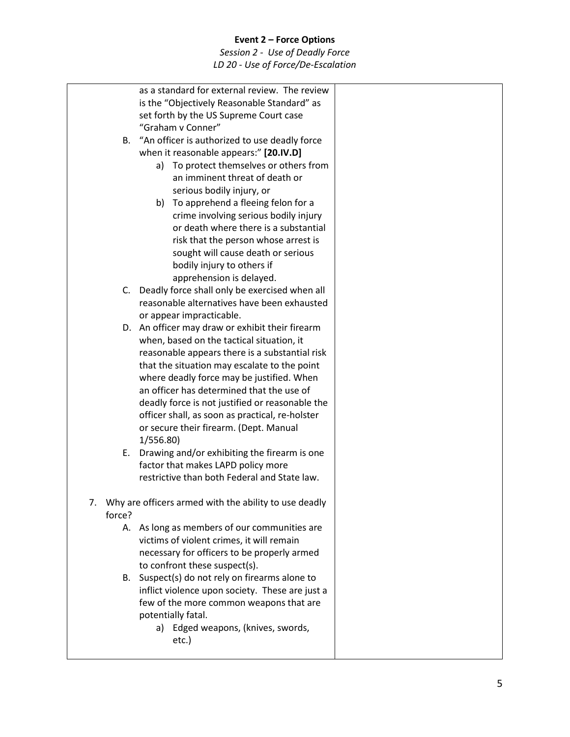|        | as a standard for external review. The review            |  |
|--------|----------------------------------------------------------|--|
|        | is the "Objectively Reasonable Standard" as              |  |
|        | set forth by the US Supreme Court case                   |  |
|        | "Graham v Conner"                                        |  |
| В.     | "An officer is authorized to use deadly force            |  |
|        | when it reasonable appears:" [20.IV.D]                   |  |
|        | To protect themselves or others from<br>a)               |  |
|        | an imminent threat of death or                           |  |
|        | serious bodily injury, or                                |  |
|        | b) To apprehend a fleeing felon for a                    |  |
|        | crime involving serious bodily injury                    |  |
|        | or death where there is a substantial                    |  |
|        | risk that the person whose arrest is                     |  |
|        | sought will cause death or serious                       |  |
|        | bodily injury to others if                               |  |
|        | apprehension is delayed.                                 |  |
|        | C. Deadly force shall only be exercised when all         |  |
|        | reasonable alternatives have been exhausted              |  |
|        | or appear impracticable.                                 |  |
|        | D. An officer may draw or exhibit their firearm          |  |
|        | when, based on the tactical situation, it                |  |
|        | reasonable appears there is a substantial risk           |  |
|        | that the situation may escalate to the point             |  |
|        | where deadly force may be justified. When                |  |
|        | an officer has determined that the use of                |  |
|        | deadly force is not justified or reasonable the          |  |
|        | officer shall, as soon as practical, re-holster          |  |
|        | or secure their firearm. (Dept. Manual                   |  |
|        | 1/556.80)                                                |  |
| Е.     | Drawing and/or exhibiting the firearm is one             |  |
|        | factor that makes LAPD policy more                       |  |
|        | restrictive than both Federal and State law.             |  |
|        | 7. Why are officers armed with the ability to use deadly |  |
| force? |                                                          |  |
|        | A. As long as members of our communities are             |  |
|        | victims of violent crimes, it will remain                |  |
|        | necessary for officers to be properly armed              |  |
|        | to confront these suspect(s).                            |  |
| В.     | Suspect(s) do not rely on firearms alone to              |  |
|        | inflict violence upon society. These are just a          |  |
|        | few of the more common weapons that are                  |  |
|        | potentially fatal.                                       |  |
|        | a) Edged weapons, (knives, swords,                       |  |
|        | etc.)                                                    |  |
|        |                                                          |  |
|        |                                                          |  |